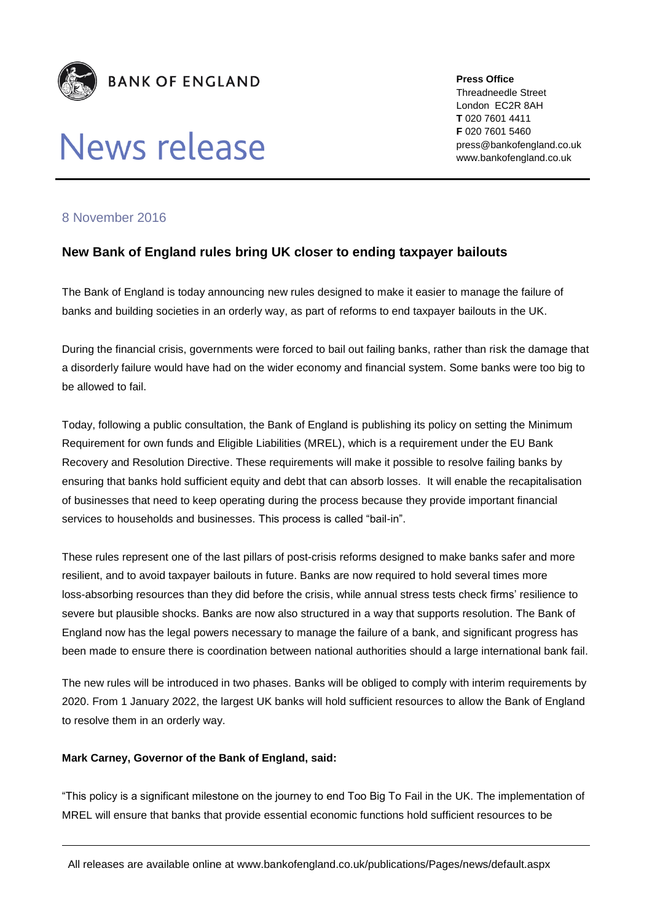

# News release

**Press Office** Threadneedle Street London EC2R 8AH **T** 020 7601 4411 **F** 020 7601 5460 press@bankofengland.co.uk www.bankofengland.co.uk

### 8 November 2016

## **New Bank of England rules bring UK closer to ending taxpayer bailouts**

The Bank of England is today announcing new rules designed to make it easier to manage the failure of banks and building societies in an orderly way, as part of reforms to end taxpayer bailouts in the UK.

During the financial crisis, governments were forced to bail out failing banks, rather than risk the damage that a disorderly failure would have had on the wider economy and financial system. Some banks were too big to be allowed to fail.

Today, following a public consultation, the Bank of England is publishing its policy on setting the Minimum Requirement for own funds and Eligible Liabilities (MREL), which is a requirement under the EU Bank Recovery and Resolution Directive. These requirements will make it possible to resolve failing banks by ensuring that banks hold sufficient equity and debt that can absorb losses. It will enable the recapitalisation of businesses that need to keep operating during the process because they provide important financial services to households and businesses. This process is called "bail-in".

These rules represent one of the last pillars of post-crisis reforms designed to make banks safer and more resilient, and to avoid taxpayer bailouts in future. Banks are now required to hold several times more loss-absorbing resources than they did before the crisis, while annual stress tests check firms' resilience to severe but plausible shocks. Banks are now also structured in a way that supports resolution. The Bank of England now has the legal powers necessary to manage the failure of a bank, and significant progress has been made to ensure there is coordination between national authorities should a large international bank fail.

The new rules will be introduced in two phases. Banks will be obliged to comply with interim requirements by 2020. From 1 January 2022, the largest UK banks will hold sufficient resources to allow the Bank of England to resolve them in an orderly way.

#### **Mark Carney, Governor of the Bank of England, said:**

"This policy is a significant milestone on the journey to end Too Big To Fail in the UK. The implementation of MREL will ensure that banks that provide essential economic functions hold sufficient resources to be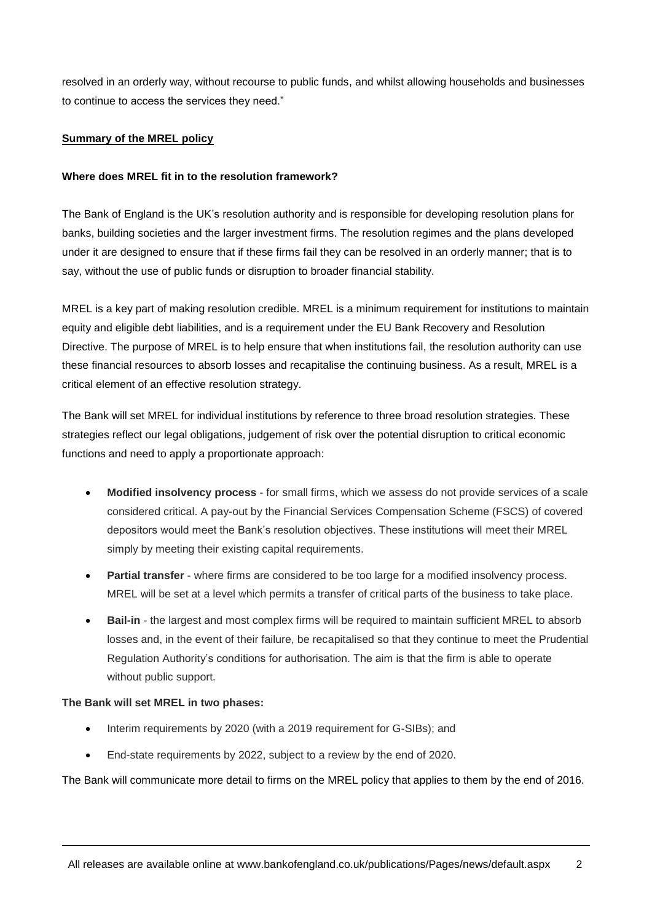resolved in an orderly way, without recourse to public funds, and whilst allowing households and businesses to continue to access the services they need."

#### **Summary of the MREL policy**

#### **Where does MREL fit in to the resolution framework?**

The Bank of England is the UK's resolution authority and is responsible for developing resolution plans for banks, building societies and the larger investment firms. The resolution regimes and the plans developed under it are designed to ensure that if these firms fail they can be resolved in an orderly manner; that is to say, without the use of public funds or disruption to broader financial stability.

MREL is a key part of making resolution credible. MREL is a minimum requirement for institutions to maintain equity and eligible debt liabilities, and is a requirement under the EU Bank Recovery and Resolution Directive. The purpose of MREL is to help ensure that when institutions fail, the resolution authority can use these financial resources to absorb losses and recapitalise the continuing business. As a result, MREL is a critical element of an effective resolution strategy.

The Bank will set MREL for individual institutions by reference to three broad resolution strategies. These strategies reflect our legal obligations, judgement of risk over the potential disruption to critical economic functions and need to apply a proportionate approach:

- **Modified insolvency process** for small firms, which we assess do not provide services of a scale considered critical. A pay-out by the Financial Services Compensation Scheme (FSCS) of covered depositors would meet the Bank's resolution objectives. These institutions will meet their MREL simply by meeting their existing capital requirements.
- **Partial transfer** where firms are considered to be too large for a modified insolvency process. MREL will be set at a level which permits a transfer of critical parts of the business to take place.
- **Bail-in** the largest and most complex firms will be required to maintain sufficient MREL to absorb losses and, in the event of their failure, be recapitalised so that they continue to meet the Prudential Regulation Authority's conditions for authorisation. The aim is that the firm is able to operate without public support.

#### **The Bank will set MREL in two phases:**

- Interim requirements by 2020 (with a 2019 requirement for G-SIBs); and
- End-state requirements by 2022, subject to a review by the end of 2020.

The Bank will communicate more detail to firms on the MREL policy that applies to them by the end of 2016.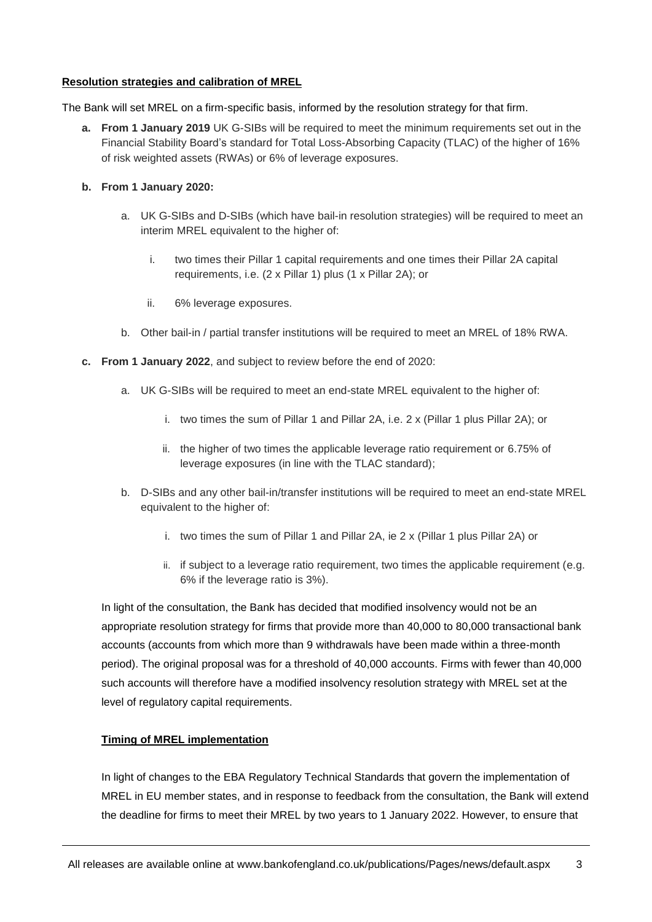#### **Resolution strategies and calibration of MREL**

The Bank will set MREL on a firm-specific basis, informed by the resolution strategy for that firm.

**a. From 1 January 2019** UK G-SIBs will be required to meet the minimum requirements set out in the Financial Stability Board's standard for Total Loss-Absorbing Capacity (TLAC) of the higher of 16% of risk weighted assets (RWAs) or 6% of leverage exposures.

#### **b. From 1 January 2020:**

- a. UK G-SIBs and D-SIBs (which have bail-in resolution strategies) will be required to meet an interim MREL equivalent to the higher of:
	- i. two times their Pillar 1 capital requirements and one times their Pillar 2A capital requirements, i.e. (2 x Pillar 1) plus (1 x Pillar 2A); or
	- ii. 6% leverage exposures.
- b. Other bail-in / partial transfer institutions will be required to meet an MREL of 18% RWA.
- **c. From 1 January 2022**, and subject to review before the end of 2020:
	- a. UK G-SIBs will be required to meet an end-state MREL equivalent to the higher of:
		- i. two times the sum of Pillar 1 and Pillar 2A, i.e. 2 x (Pillar 1 plus Pillar 2A); or
		- ii. the higher of two times the applicable leverage ratio requirement or 6.75% of leverage exposures (in line with the TLAC standard);
	- b. D-SIBs and any other bail-in/transfer institutions will be required to meet an end-state MREL equivalent to the higher of:
		- i. two times the sum of Pillar 1 and Pillar 2A, ie 2 x (Pillar 1 plus Pillar 2A) or
		- ii. if subject to a leverage ratio requirement, two times the applicable requirement (e.g. 6% if the leverage ratio is 3%).

In light of the consultation, the Bank has decided that modified insolvency would not be an appropriate resolution strategy for firms that provide more than 40,000 to 80,000 transactional bank accounts (accounts from which more than 9 withdrawals have been made within a three-month period). The original proposal was for a threshold of 40,000 accounts. Firms with fewer than 40,000 such accounts will therefore have a modified insolvency resolution strategy with MREL set at the level of regulatory capital requirements.

#### **Timing of MREL implementation**

In light of changes to the EBA Regulatory Technical Standards that govern the implementation of MREL in EU member states, and in response to feedback from the consultation, the Bank will extend the deadline for firms to meet their MREL by two years to 1 January 2022. However, to ensure that